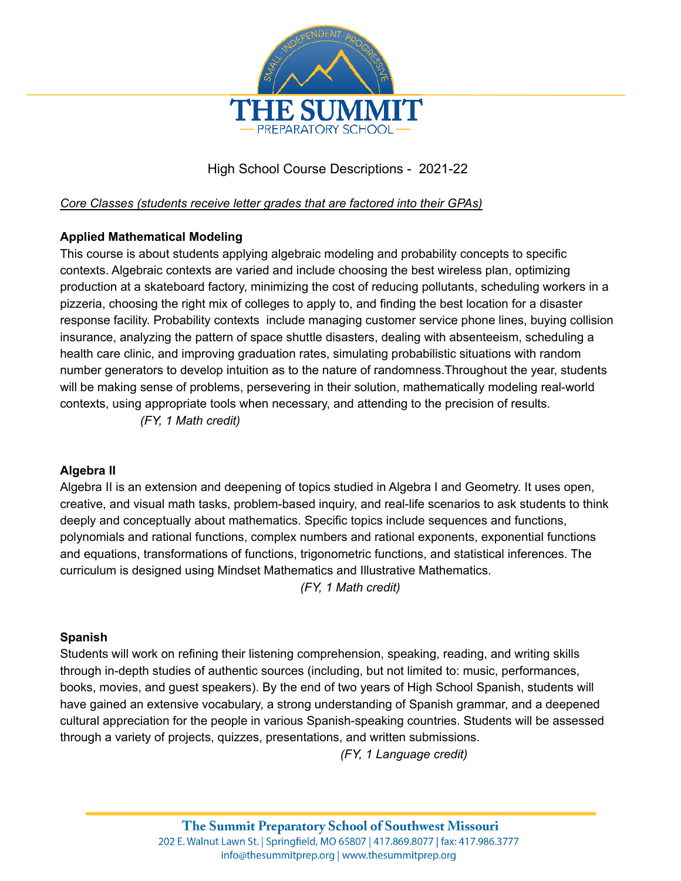

# High School Course Descriptions - 2021-22

#### *Core Classes (students receive letter grades that are factored into their GPAs)*

## **Applied Mathematical Modeling**

This course is about students applying algebraic modeling and probability concepts to specific contexts. Algebraic contexts are varied and include choosing the best wireless plan, optimizing production at a skateboard factory, minimizing the cost of reducing pollutants, scheduling workers in a pizzeria, choosing the right mix of colleges to apply to, and finding the best location for a disaster response facility. Probability contexts include managing customer service phone lines, buying collision insurance, analyzing the pattern of space shuttle disasters, dealing with absenteeism, scheduling a health care clinic, and improving graduation rates, simulating probabilistic situations with random number generators to develop intuition as to the nature of randomness.Throughout the year, students will be making sense of problems, persevering in their solution, mathematically modeling real-world contexts, using appropriate tools when necessary, and attending to the precision of results.

*(FY, 1 Math credit)*

#### **Algebra II**

Algebra II is an extension and deepening of topics studied in Algebra I and Geometry. It uses open, creative, and visual math tasks, problem-based inquiry, and real-life scenarios to ask students to think deeply and conceptually about mathematics. Specific topics include sequences and functions, polynomials and rational functions, complex numbers and rational exponents, exponential functions and equations, transformations of functions, trigonometric functions, and statistical inferences. The curriculum is designed using Mindset Mathematics and Illustrative Mathematics.

*(FY, 1 Math credit)*

#### **Spanish**

Students will work on refining their listening comprehension, speaking, reading, and writing skills through in-depth studies of authentic sources (including, but not limited to: music, performances, books, movies, and guest speakers). By the end of two years of High School Spanish, students will have gained an extensive vocabulary, a strong understanding of Spanish grammar, and a deepened cultural appreciation for the people in various Spanish-speaking countries. Students will be assessed through a variety of projects, quizzes, presentations, and written submissions.

*(FY, 1 Language credit)*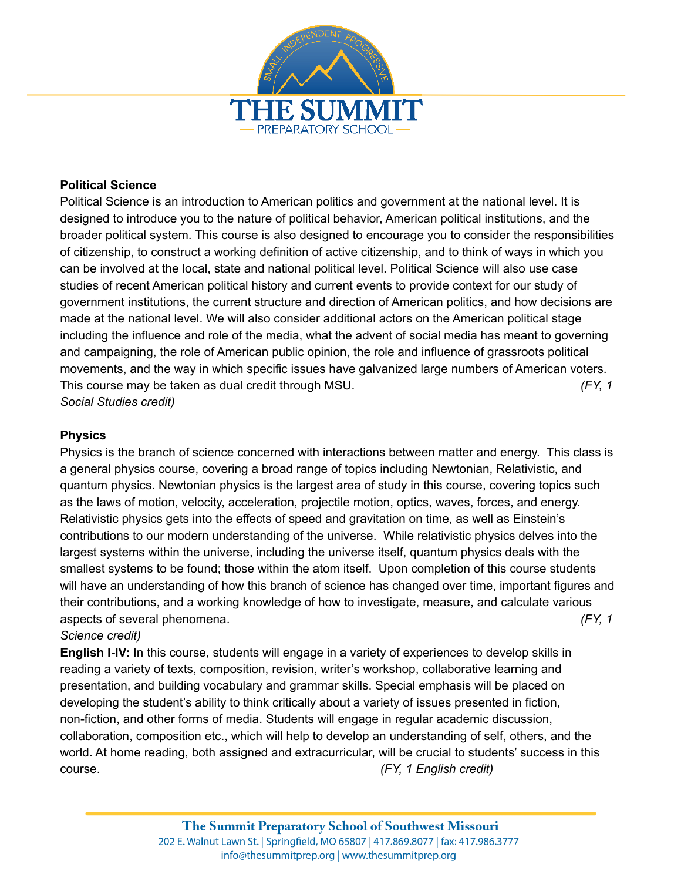

#### **Political Science**

Political Science is an introduction to American politics and government at the national level. It is designed to introduce you to the nature of political behavior, American political institutions, and the broader political system. This course is also designed to encourage you to consider the responsibilities of citizenship, to construct a working definition of active citizenship, and to think of ways in which you can be involved at the local, state and national political level. Political Science will also use case studies of recent American political history and current events to provide context for our study of government institutions, the current structure and direction of American politics, and how decisions are made at the national level. We will also consider additional actors on the American political stage including the influence and role of the media, what the advent of social media has meant to governing and campaigning, the role of American public opinion, the role and influence of grassroots political movements, and the way in which specific issues have galvanized large numbers of American voters. This course may be taken as dual credit through MSU. *(FY, 1 Social Studies credit)*

#### **Physics**

Physics is the branch of science concerned with interactions between matter and energy. This class is a general physics course, covering a broad range of topics including Newtonian, Relativistic, and quantum physics. Newtonian physics is the largest area of study in this course, covering topics such as the laws of motion, velocity, acceleration, projectile motion, optics, waves, forces, and energy. Relativistic physics gets into the effects of speed and gravitation on time, as well as Einstein's contributions to our modern understanding of the universe. While relativistic physics delves into the largest systems within the universe, including the universe itself, quantum physics deals with the smallest systems to be found; those within the atom itself. Upon completion of this course students will have an understanding of how this branch of science has changed over time, important figures and their contributions, and a working knowledge of how to investigate, measure, and calculate various aspects of several phenomena. *(FY, 1*

#### *Science credit)*

**English I-IV:** In this course, students will engage in a variety of experiences to develop skills in reading a variety of texts, composition, revision, writer's workshop, collaborative learning and presentation, and building vocabulary and grammar skills. Special emphasis will be placed on developing the student's ability to think critically about a variety of issues presented in fiction, non-fiction, and other forms of media. Students will engage in regular academic discussion, collaboration, composition etc., which will help to develop an understanding of self, others, and the world. At home reading, both assigned and extracurricular, will be crucial to students' success in this course. *(FY, 1 English credit)*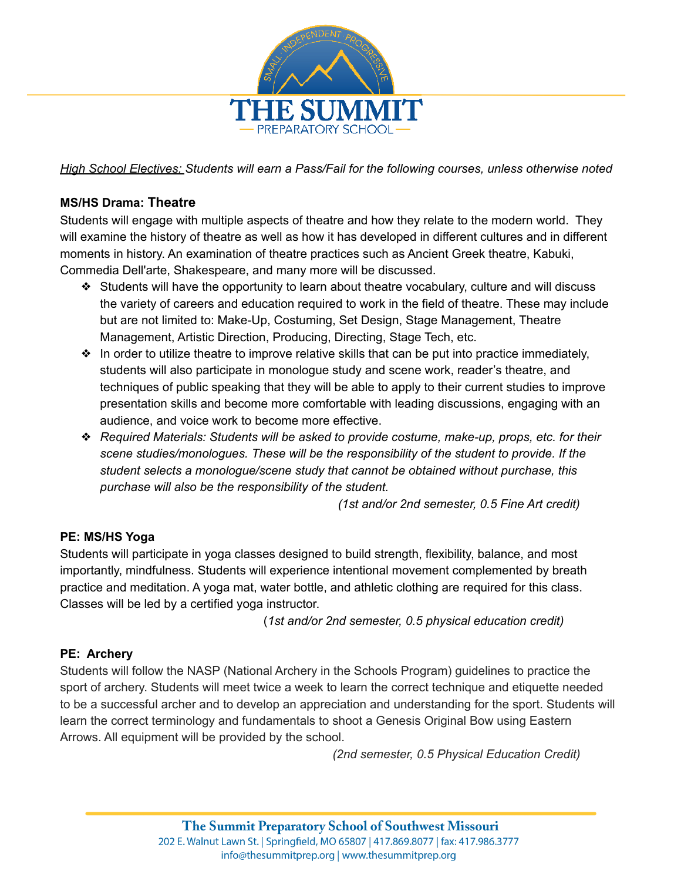

*High School Electives: Students will earn a Pass/Fail for the following courses, unless otherwise noted*

### **MS/HS Drama: Theatre**

Students will engage with multiple aspects of theatre and how they relate to the modern world. They will examine the history of theatre as well as how it has developed in different cultures and in different moments in history. An examination of theatre practices such as Ancient Greek theatre, Kabuki, Commedia Dell'arte, Shakespeare, and many more will be discussed.

- ❖ Students will have the opportunity to learn about theatre vocabulary, culture and will discuss the variety of careers and education required to work in the field of theatre. These may include but are not limited to: Make-Up, Costuming, Set Design, Stage Management, Theatre Management, Artistic Direction, Producing, Directing, Stage Tech, etc.
- ❖ In order to utilize theatre to improve relative skills that can be put into practice immediately, students will also participate in monologue study and scene work, reader's theatre, and techniques of public speaking that they will be able to apply to their current studies to improve presentation skills and become more comfortable with leading discussions, engaging with an audience, and voice work to become more effective.
- ❖ *Required Materials: Students will be asked to provide costume, make-up, props, etc. for their scene studies/monologues. These will be the responsibility of the student to provide. If the student selects a monologue/scene study that cannot be obtained without purchase, this purchase will also be the responsibility of the student.*

*(1st and/or 2nd semester, 0.5 Fine Art credit)*

#### **PE: MS/HS Yoga**

Students will participate in yoga classes designed to build strength, flexibility, balance, and most importantly, mindfulness. Students will experience intentional movement complemented by breath practice and meditation. A yoga mat, water bottle, and athletic clothing are required for this class. Classes will be led by a certified yoga instructor.

(*1st and/or 2nd semester, 0.5 physical education credit)*

#### **PE: Archery**

Students will follow the NASP (National Archery in the Schools Program) guidelines to practice the sport of archery. Students will meet twice a week to learn the correct technique and etiquette needed to be a successful archer and to develop an appreciation and understanding for the sport. Students will learn the correct terminology and fundamentals to shoot a Genesis Original Bow using Eastern Arrows. All equipment will be provided by the school.

*(2nd semester, 0.5 Physical Education Credit)*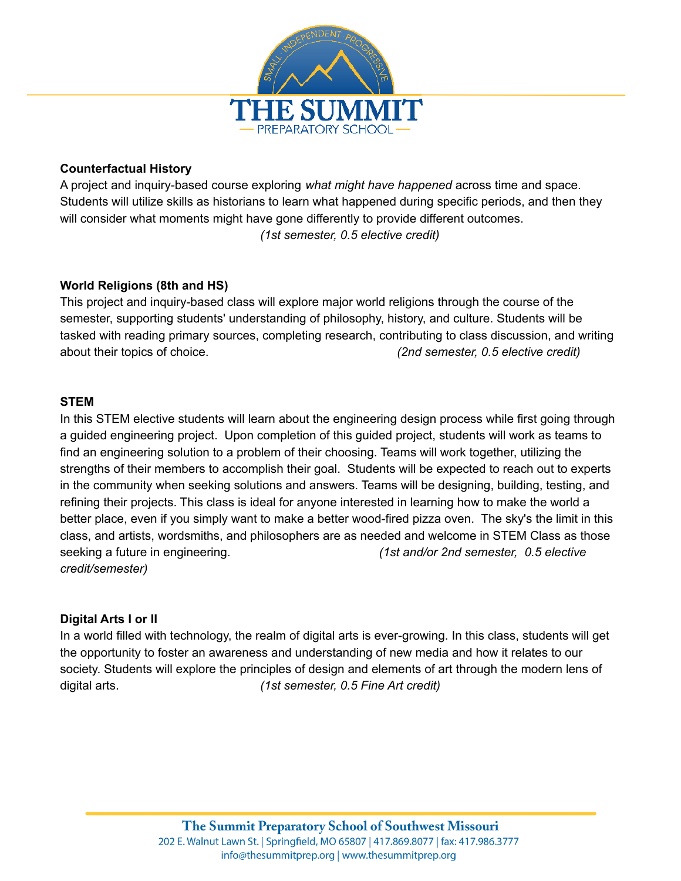

#### **Counterfactual History**

A project and inquiry-based course exploring *what might have happened* across time and space. Students will utilize skills as historians to learn what happened during specific periods, and then they will consider what moments might have gone differently to provide different outcomes. *(1st semester, 0.5 elective credit)*

## **World Religions (8th and HS)**

This project and inquiry-based class will explore major world religions through the course of the semester, supporting students' understanding of philosophy, history, and culture. Students will be tasked with reading primary sources, completing research, contributing to class discussion, and writing about their topics of choice. *(2nd semester, 0.5 elective credit)*

#### **STEM**

In this STEM elective students will learn about the engineering design process while first going through a guided engineering project. Upon completion of this guided project, students will work as teams to find an engineering solution to a problem of their choosing. Teams will work together, utilizing the strengths of their members to accomplish their goal. Students will be expected to reach out to experts in the community when seeking solutions and answers. Teams will be designing, building, testing, and refining their projects. This class is ideal for anyone interested in learning how to make the world a better place, even if you simply want to make a better wood-fired pizza oven. The sky's the limit in this class, and artists, wordsmiths, and philosophers are as needed and welcome in STEM Class as those seeking a future in engineering. *(1st and/or 2nd semester, 0.5 elective credit/semester)*

#### **Digital Arts I or II**

In a world filled with technology, the realm of digital arts is ever-growing. In this class, students will get the opportunity to foster an awareness and understanding of new media and how it relates to our society. Students will explore the principles of design and elements of art through the modern lens of digital arts. *(1st semester, 0.5 Fine Art credit)*